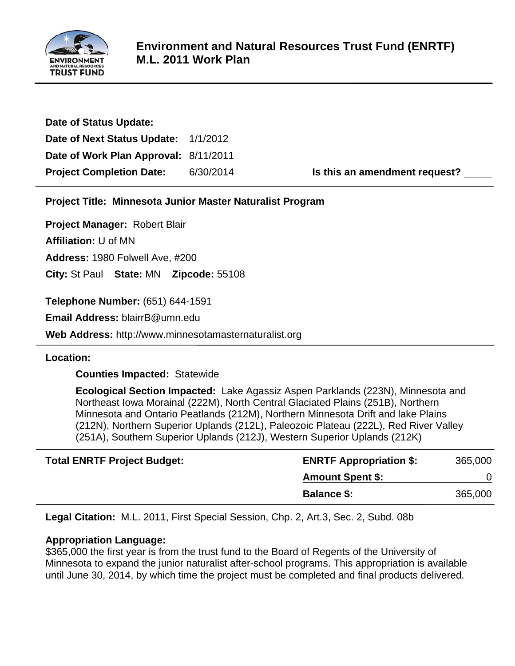

| 6/30/2014 | Is this an amendment request?                                                 |
|-----------|-------------------------------------------------------------------------------|
|           | Date of Next Status Update: 1/1/2012<br>Date of Work Plan Approval: 8/11/2011 |

**Project Title: Minnesota Junior Master Naturalist Program**

**Project Manager:** Robert Blair

**Affiliation:** U of MN

**Address:** 1980 Folwell Ave, #200

**City:** St Paul **State:** MN **Zipcode:** 55108

**Telephone Number:** (651) 644-1591

**Email Address:** blairrB@umn.edu

**Web Address:** http://www.minnesotamasternaturalist.org

**Location:** 

 **Counties Impacted:** Statewide

 **Ecological Section Impacted:** Lake Agassiz Aspen Parklands (223N), Minnesota and Northeast Iowa Morainal (222M), North Central Glaciated Plains (251B), Northern Minnesota and Ontario Peatlands (212M), Northern Minnesota Drift and lake Plains (212N), Northern Superior Uplands (212L), Paleozoic Plateau (222L), Red River Valley (251A), Southern Superior Uplands (212J), Western Superior Uplands (212K)

| <b>Total ENRTF Project Budget:</b> | <b>ENRTF Appropriation \$:</b> | 365,000 |
|------------------------------------|--------------------------------|---------|
|                                    | <b>Amount Spent \$:</b>        |         |
|                                    | <b>Balance \$:</b>             | 365,000 |

**Legal Citation:** M.L. 2011, First Special Session, Chp. 2, Art.3, Sec. 2, Subd. 08b

# **Appropriation Language:**

\$365,000 the first year is from the trust fund to the Board of Regents of the University of Minnesota to expand the junior naturalist after-school programs. This appropriation is available until June 30, 2014, by which time the project must be completed and final products delivered.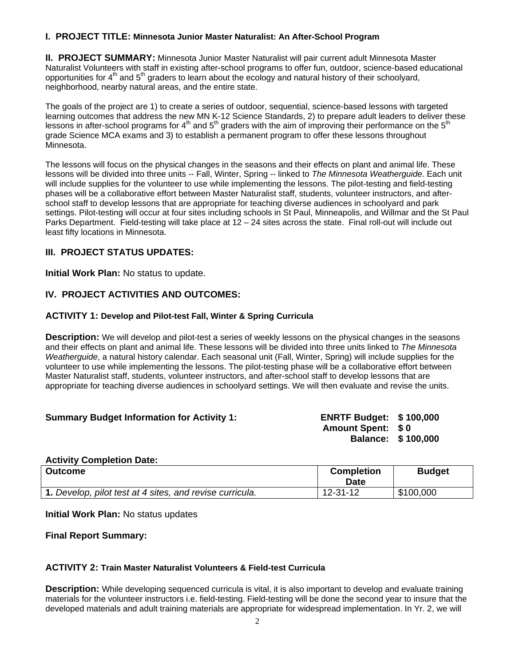# **I. PROJECT TITLE: Minnesota Junior Master Naturalist: An After-School Program**

**II. PROJECT SUMMARY:** Minnesota Junior Master Naturalist will pair current adult Minnesota Master Naturalist Volunteers with staff in existing after-school programs to offer fun, outdoor, science-based educational opportunities for  $4<sup>th</sup>$  and  $5<sup>th</sup>$  graders to learn about the ecology and natural history of their schoolyard, neighborhood, nearby natural areas, and the entire state.

The goals of the project are 1) to create a series of outdoor, sequential, science-based lessons with targeted learning outcomes that address the new MN K-12 Science Standards, 2) to prepare adult leaders to deliver these lessons in after-school programs for  $4<sup>th</sup>$  and  $5<sup>th</sup>$  graders with the aim of improving their performance on the  $5<sup>th</sup>$ grade Science MCA exams and 3) to establish a permanent program to offer these lessons throughout Minnesota.

The lessons will focus on the physical changes in the seasons and their effects on plant and animal life. These lessons will be divided into three units -- Fall, Winter, Spring -- linked to *The Minnesota Weatherguide*. Each unit will include supplies for the volunteer to use while implementing the lessons. The pilot-testing and field-testing phases will be a collaborative effort between Master Naturalist staff, students, volunteer instructors, and afterschool staff to develop lessons that are appropriate for teaching diverse audiences in schoolyard and park settings. Pilot-testing will occur at four sites including schools in St Paul, Minneapolis, and Willmar and the St Paul Parks Department. Field-testing will take place at 12 – 24 sites across the state. Final roll-out will include out least fifty locations in Minnesota.

## **III. PROJECT STATUS UPDATES:**

**Initial Work Plan:** No status to update.

# **IV. PROJECT ACTIVITIES AND OUTCOMES:**

### **ACTIVITY 1: Develop and Pilot-test Fall, Winter & Spring Curricula**

**Description:** We will develop and pilot-test a series of weekly lessons on the physical changes in the seasons and their effects on plant and animal life. These lessons will be divided into three units linked to *The Minnesota Weatherguide*, a natural history calendar. Each seasonal unit (Fall, Winter, Spring) will include supplies for the volunteer to use while implementing the lessons. The pilot-testing phase will be a collaborative effort between Master Naturalist staff, students, volunteer instructors, and after-school staff to develop lessons that are appropriate for teaching diverse audiences in schoolyard settings. We will then evaluate and revise the units.

#### **Summary Budget Information for Activity 1: ENRTF Budget: \$ 100,000**

**Amount Spent: \$ 0 Balance: \$ 100,000** 

#### **Activity Completion Date:**

| <b>Outcome</b>                                           | <b>Completion</b><br>Date | <b>Budget</b> |
|----------------------------------------------------------|---------------------------|---------------|
| 1. Develop, pilot test at 4 sites, and revise curricula. | 12-31-12                  | \$100,000     |

**Initial Work Plan:** No status updates

**Final Report Summary:**

#### **ACTIVITY 2: Train Master Naturalist Volunteers & Field-test Curricula**

**Description:** While developing sequenced curricula is vital, it is also important to develop and evaluate training materials for the volunteer instructors i.e. field-testing. Field-testing will be done the second year to insure that the developed materials and adult training materials are appropriate for widespread implementation. In Yr. 2, we will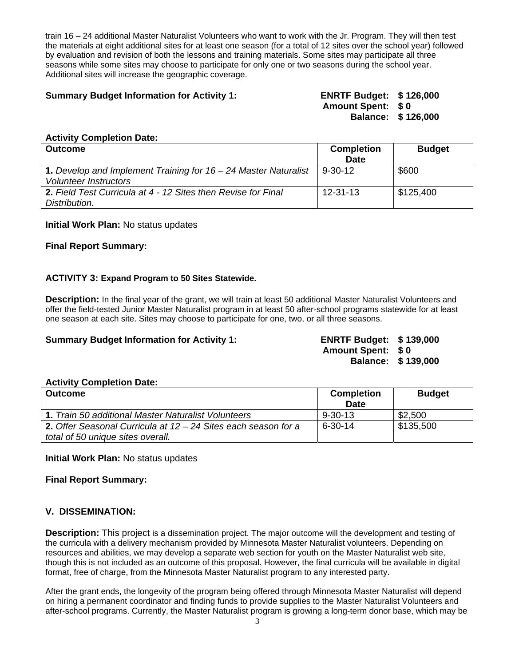train 16 – 24 additional Master Naturalist Volunteers who want to work with the Jr. Program. They will then test the materials at eight additional sites for at least one season (for a total of 12 sites over the school year) followed by evaluation and revision of both the lessons and training materials. Some sites may participate all three seasons while some sites may choose to participate for only one or two seasons during the school year. Additional sites will increase the geographic coverage.

## **Summary Budget Information for Activity 1: ENRTF Budget: \$ 126,000**

**Amount Spent: \$ 0 Balance: \$ 126,000** 

#### **Activity Completion Date:**

| <b>Outcome</b>                                                                                    | <b>Completion</b><br>Date | <b>Budget</b> |
|---------------------------------------------------------------------------------------------------|---------------------------|---------------|
| 1. Develop and Implement Training for $16 - 24$ Master Naturalist<br><b>Volunteer Instructors</b> | $9 - 30 - 12$             | \$600         |
| <b>2.</b> Field Test Curricula at 4 - 12 Sites then Revise for Final<br>Distribution.             | $12 - 31 - 13$            | \$125,400     |

### **Initial Work Plan:** No status updates

### **Final Report Summary:**

### **ACTIVITY 3: Expand Program to 50 Sites Statewide.**

**Description:** In the final year of the grant, we will train at least 50 additional Master Naturalist Volunteers and offer the field-tested Junior Master Naturalist program in at least 50 after-school programs statewide for at least one season at each site. Sites may choose to participate for one, two, or all three seasons.

#### **Summary Budget Information for Activity 1: ENRTF Budget: \$ 139,000**

**Amount Spent: \$ 0 Balance: \$ 139,000** 

#### **Activity Completion Date:**

| <b>Outcome</b>                                                   | <b>Completion</b> | <b>Budget</b> |  |
|------------------------------------------------------------------|-------------------|---------------|--|
|                                                                  | Date              |               |  |
| 1. Train 50 additional Master Naturalist Volunteers              | $9 - 30 - 13$     | \$2,500       |  |
| 2. Offer Seasonal Curricula at $12 - 24$ Sites each season for a | $6 - 30 - 14$     | \$135,500     |  |
| total of 50 unique sites overall.                                |                   |               |  |

**Initial Work Plan:** No status updates

**Final Report Summary:**

## **V. DISSEMINATION:**

**Description:** This project is a dissemination project. The major outcome will the development and testing of the curricula with a delivery mechanism provided by Minnesota Master Naturalist volunteers. Depending on resources and abilities, we may develop a separate web section for youth on the Master Naturalist web site, though this is not included as an outcome of this proposal. However, the final curricula will be available in digital format, free of charge, from the Minnesota Master Naturalist program to any interested party.

After the grant ends, the longevity of the program being offered through Minnesota Master Naturalist will depend on hiring a permanent coordinator and finding funds to provide supplies to the Master Naturalist Volunteers and after-school programs. Currently, the Master Naturalist program is growing a long-term donor base, which may be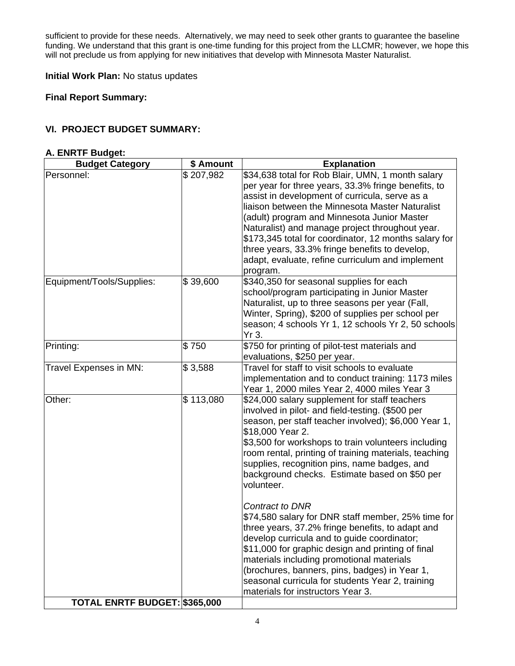sufficient to provide for these needs. Alternatively, we may need to seek other grants to guarantee the baseline funding. We understand that this grant is one-time funding for this project from the LLCMR; however, we hope this will not preclude us from applying for new initiatives that develop with Minnesota Master Naturalist.

**Initial Work Plan:** No status updates

**Final Report Summary:**

# **VI. PROJECT BUDGET SUMMARY:**

#### **A. ENRTF Budget:**

| \$207,982<br>\$34,638 total for Rob Blair, UMN, 1 month salary<br>Personnel:<br>per year for three years, 33.3% fringe benefits, to<br>assist in development of curricula, serve as a<br>liaison between the Minnesota Master Naturalist<br>(adult) program and Minnesota Junior Master<br>Naturalist) and manage project throughout year.<br>\$173,345 total for coordinator, 12 months salary for<br>three years, 33.3% fringe benefits to develop,<br>adapt, evaluate, refine curriculum and implement<br>program.<br>Equipment/Tools/Supplies:<br>\$39,600<br>\$340,350 for seasonal supplies for each<br>school/program participating in Junior Master<br>Naturalist, up to three seasons per year (Fall,<br>Winter, Spring), \$200 of supplies per school per<br>season; 4 schools Yr 1, 12 schools Yr 2, 50 schools<br>Yr 3.<br>\$750<br>\$750 for printing of pilot-test materials and<br>Printing:<br>evaluations, \$250 per year.<br>Travel for staff to visit schools to evaluate |  |
|----------------------------------------------------------------------------------------------------------------------------------------------------------------------------------------------------------------------------------------------------------------------------------------------------------------------------------------------------------------------------------------------------------------------------------------------------------------------------------------------------------------------------------------------------------------------------------------------------------------------------------------------------------------------------------------------------------------------------------------------------------------------------------------------------------------------------------------------------------------------------------------------------------------------------------------------------------------------------------------------|--|
|                                                                                                                                                                                                                                                                                                                                                                                                                                                                                                                                                                                                                                                                                                                                                                                                                                                                                                                                                                                              |  |
|                                                                                                                                                                                                                                                                                                                                                                                                                                                                                                                                                                                                                                                                                                                                                                                                                                                                                                                                                                                              |  |
|                                                                                                                                                                                                                                                                                                                                                                                                                                                                                                                                                                                                                                                                                                                                                                                                                                                                                                                                                                                              |  |
| \$3,588<br>Travel Expenses in MN:<br>implementation and to conduct training: 1173 miles<br>Year 1, 2000 miles Year 2, 4000 miles Year 3                                                                                                                                                                                                                                                                                                                                                                                                                                                                                                                                                                                                                                                                                                                                                                                                                                                      |  |
| Other:<br>\$113,080<br>\$24,000 salary supplement for staff teachers<br>involved in pilot- and field-testing. (\$500 per<br>season, per staff teacher involved); \$6,000 Year 1,<br>\$18,000 Year 2.<br>\$3,500 for workshops to train volunteers including<br>room rental, printing of training materials, teaching<br>supplies, recognition pins, name badges, and<br>background checks. Estimate based on \$50 per<br>volunteer.<br>Contract to DNR<br>\$74,580 salary for DNR staff member, 25% time for<br>three years, 37.2% fringe benefits, to adapt and<br>develop curricula and to guide coordinator;                                                                                                                                                                                                                                                                                                                                                                              |  |
| \$11,000 for graphic design and printing of final<br>materials including promotional materials<br>(brochures, banners, pins, badges) in Year 1,<br>seasonal curricula for students Year 2, training<br>materials for instructors Year 3.<br>TOTAL ENRTF BUDGET: \$365,000                                                                                                                                                                                                                                                                                                                                                                                                                                                                                                                                                                                                                                                                                                                    |  |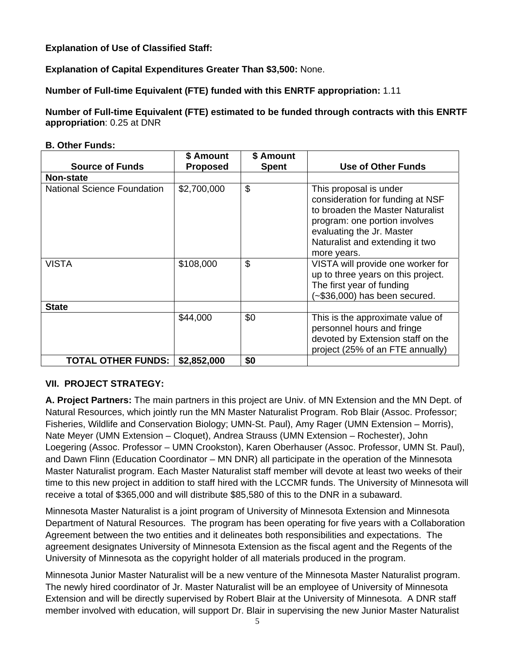**Explanation of Use of Classified Staff:**

**Explanation of Capital Expenditures Greater Than \$3,500:** None.

**Number of Full-time Equivalent (FTE) funded with this ENRTF appropriation:** 1.11

**Number of Full-time Equivalent (FTE) estimated to be funded through contracts with this ENRTF appropriation**: 0.25 at DNR

## **B. Other Funds:**

| <b>Source of Funds</b>      | \$ Amount<br><b>Proposed</b> | \$ Amount<br><b>Spent</b> | <b>Use of Other Funds</b>                                                                                                                                                                                      |
|-----------------------------|------------------------------|---------------------------|----------------------------------------------------------------------------------------------------------------------------------------------------------------------------------------------------------------|
| <b>Non-state</b>            |                              |                           |                                                                                                                                                                                                                |
| National Science Foundation | \$2,700,000                  | \$                        | This proposal is under<br>consideration for funding at NSF<br>to broaden the Master Naturalist<br>program: one portion involves<br>evaluating the Jr. Master<br>Naturalist and extending it two<br>more years. |
| <b>VISTA</b>                | \$108,000                    | \$                        | VISTA will provide one worker for<br>up to three years on this project.<br>The first year of funding<br>$(-\$36,000)$ has been secured.                                                                        |
| <b>State</b>                |                              |                           |                                                                                                                                                                                                                |
|                             | \$44,000                     | \$0                       | This is the approximate value of<br>personnel hours and fringe<br>devoted by Extension staff on the<br>project (25% of an FTE annually)                                                                        |
| TOTAL OTHER FUNDS:          | \$2,852,000                  | \$0                       |                                                                                                                                                                                                                |

# **VII. PROJECT STRATEGY:**

**A. Project Partners:** The main partners in this project are Univ. of MN Extension and the MN Dept. of Natural Resources, which jointly run the MN Master Naturalist Program. Rob Blair (Assoc. Professor; Fisheries, Wildlife and Conservation Biology; UMN-St. Paul), Amy Rager (UMN Extension – Morris), Nate Meyer (UMN Extension – Cloquet), Andrea Strauss (UMN Extension – Rochester), John Loegering (Assoc. Professor – UMN Crookston), Karen Oberhauser (Assoc. Professor, UMN St. Paul), and Dawn Flinn (Education Coordinator – MN DNR) all participate in the operation of the Minnesota Master Naturalist program. Each Master Naturalist staff member will devote at least two weeks of their time to this new project in addition to staff hired with the LCCMR funds. The University of Minnesota will receive a total of \$365,000 and will distribute \$85,580 of this to the DNR in a subaward.

Minnesota Master Naturalist is a joint program of University of Minnesota Extension and Minnesota Department of Natural Resources. The program has been operating for five years with a Collaboration Agreement between the two entities and it delineates both responsibilities and expectations. The agreement designates University of Minnesota Extension as the fiscal agent and the Regents of the University of Minnesota as the copyright holder of all materials produced in the program.

Minnesota Junior Master Naturalist will be a new venture of the Minnesota Master Naturalist program. The newly hired coordinator of Jr. Master Naturalist will be an employee of University of Minnesota Extension and will be directly supervised by Robert Blair at the University of Minnesota. A DNR staff member involved with education, will support Dr. Blair in supervising the new Junior Master Naturalist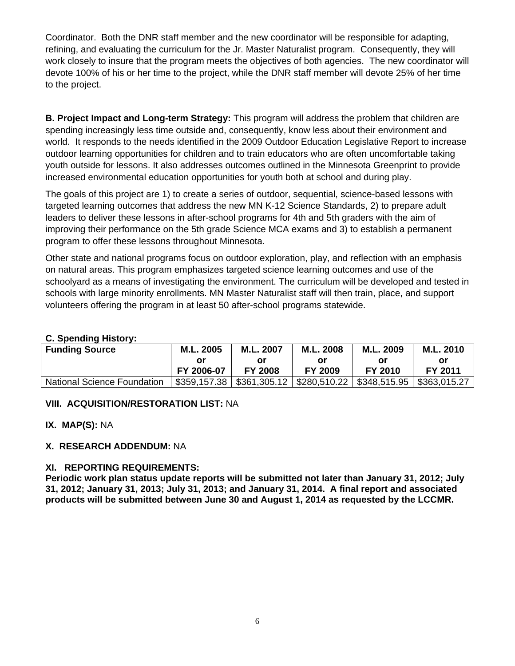Coordinator. Both the DNR staff member and the new coordinator will be responsible for adapting, refining, and evaluating the curriculum for the Jr. Master Naturalist program. Consequently, they will work closely to insure that the program meets the objectives of both agencies. The new coordinator will devote 100% of his or her time to the project, while the DNR staff member will devote 25% of her time to the project.

**B. Project Impact and Long-term Strategy:** This program will address the problem that children are spending increasingly less time outside and, consequently, know less about their environment and world. It responds to the needs identified in the 2009 Outdoor Education Legislative Report to increase outdoor learning opportunities for children and to train educators who are often uncomfortable taking youth outside for lessons. It also addresses outcomes outlined in the Minnesota Greenprint to provide increased environmental education opportunities for youth both at school and during play.

The goals of this project are 1) to create a series of outdoor, sequential, science-based lessons with targeted learning outcomes that address the new MN K-12 Science Standards, 2) to prepare adult leaders to deliver these lessons in after-school programs for 4th and 5th graders with the aim of improving their performance on the 5th grade Science MCA exams and 3) to establish a permanent program to offer these lessons throughout Minnesota.

Other state and national programs focus on outdoor exploration, play, and reflection with an emphasis on natural areas. This program emphasizes targeted science learning outcomes and use of the schoolyard as a means of investigating the environment. The curriculum will be developed and tested in schools with large minority enrollments. MN Master Naturalist staff will then train, place, and support volunteers offering the program in at least 50 after-school programs statewide.

# **C. Spending History:**

| <b>Funding Source</b>              | M.L. 2005  | M.L. 2007      |                | M.L. 2009                                                     | M.L. 2010    |  |  |
|------------------------------------|------------|----------------|----------------|---------------------------------------------------------------|--------------|--|--|
|                                    | or         | Οľ             |                |                                                               | or           |  |  |
|                                    | FY 2006-07 | <b>FY 2008</b> | <b>FY 2009</b> | FY 2010                                                       | FY 2011      |  |  |
| <b>National Science Foundation</b> |            |                |                | $$359,157.38$   $$361,305.12$   $$280,510.22$   $$348,515.95$ | \$363,015.27 |  |  |

## **VIII. ACQUISITION/RESTORATION LIST:** NA

**IX. MAP(S):** NA

## **X. RESEARCH ADDENDUM:** NA

## **XI. REPORTING REQUIREMENTS:**

**Periodic work plan status update reports will be submitted not later than January 31, 2012; July 31, 2012; January 31, 2013; July 31, 2013; and January 31, 2014. A final report and associated products will be submitted between June 30 and August 1, 2014 as requested by the LCCMR.**